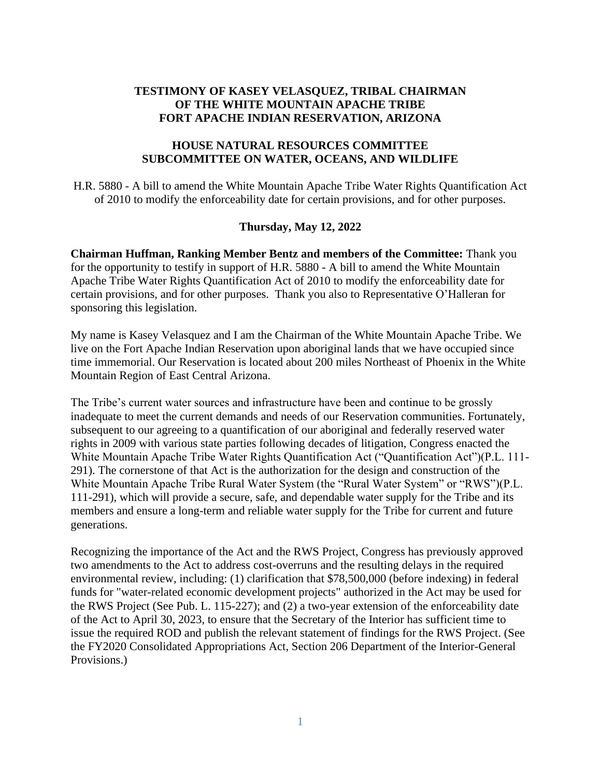# **TESTIMONY OF KASEY VELASQUEZ, TRIBAL CHAIRMAN OF THE WHITE MOUNTAIN APACHE TRIBE FORT APACHE INDIAN RESERVATION, ARIZONA**

#### **HOUSE NATURAL RESOURCES COMMITTEE SUBCOMMITTEE ON WATER, OCEANS, AND WILDLIFE**

H.R. 5880 - A bill to amend the White Mountain Apache Tribe Water Rights Quantification Act of 2010 to modify the enforceability date for certain provisions, and for other purposes.

## **Thursday, May 12, 2022**

**Chairman Huffman, Ranking Member Bentz and members of the Committee:** Thank you for the opportunity to testify in support of H.R. 5880 - A bill to amend the White Mountain Apache Tribe Water Rights Quantification Act of 2010 to modify the enforceability date for certain provisions, and for other purposes. Thank you also to Representative O'Halleran for sponsoring this legislation.

My name is Kasey Velasquez and I am the Chairman of the White Mountain Apache Tribe. We live on the Fort Apache Indian Reservation upon aboriginal lands that we have occupied since time immemorial. Our Reservation is located about 200 miles Northeast of Phoenix in the White Mountain Region of East Central Arizona.

The Tribe's current water sources and infrastructure have been and continue to be grossly inadequate to meet the current demands and needs of our Reservation communities. Fortunately, subsequent to our agreeing to a quantification of our aboriginal and federally reserved water rights in 2009 with various state parties following decades of litigation, Congress enacted the White Mountain Apache Tribe Water Rights Quantification Act ("Quantification Act")(P.L. 111- 291). The cornerstone of that Act is the authorization for the design and construction of the White Mountain Apache Tribe Rural Water System (the "Rural Water System" or "RWS")(P.L. 111-291), which will provide a secure, safe, and dependable water supply for the Tribe and its members and ensure a long-term and reliable water supply for the Tribe for current and future generations.

Recognizing the importance of the Act and the RWS Project, Congress has previously approved two amendments to the Act to address cost-overruns and the resulting delays in the required environmental review, including: (1) clarification that \$78,500,000 (before indexing) in federal funds for "water-related economic development projects" authorized in the Act may be used for the RWS Project (See Pub. L. 115-227); and (2) a two-year extension of the enforceability date of the Act to April 30, 2023, to ensure that the Secretary of the Interior has sufficient time to issue the required ROD and publish the relevant statement of findings for the RWS Project. (See the FY2020 Consolidated Appropriations Act, Section 206 Department of the Interior-General Provisions.)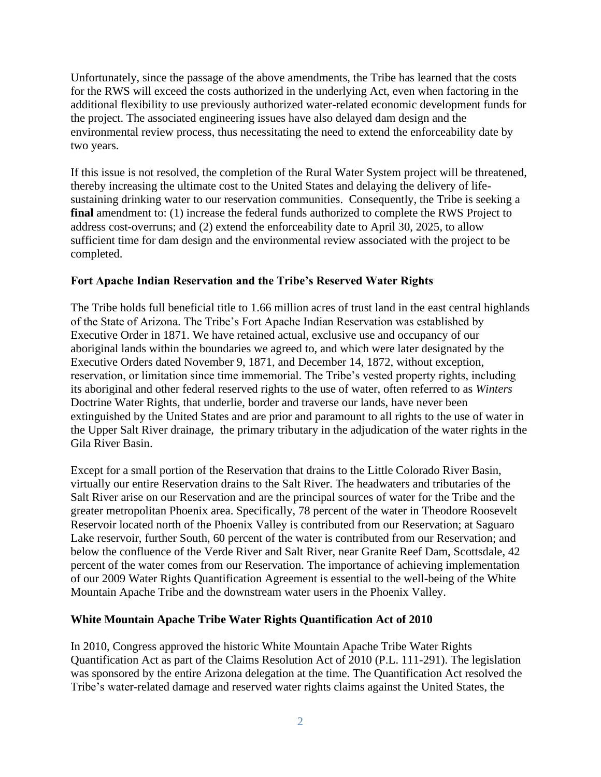Unfortunately, since the passage of the above amendments, the Tribe has learned that the costs for the RWS will exceed the costs authorized in the underlying Act, even when factoring in the additional flexibility to use previously authorized water-related economic development funds for the project. The associated engineering issues have also delayed dam design and the environmental review process, thus necessitating the need to extend the enforceability date by two years.

If this issue is not resolved, the completion of the Rural Water System project will be threatened, thereby increasing the ultimate cost to the United States and delaying the delivery of lifesustaining drinking water to our reservation communities. Consequently, the Tribe is seeking a final amendment to: (1) increase the federal funds authorized to complete the RWS Project to address cost-overruns; and (2) extend the enforceability date to April 30, 2025, to allow sufficient time for dam design and the environmental review associated with the project to be completed.

## **Fort Apache Indian Reservation and the Tribe's Reserved Water Rights**

The Tribe holds full beneficial title to 1.66 million acres of trust land in the east central highlands of the State of Arizona. The Tribe's Fort Apache Indian Reservation was established by Executive Order in 1871. We have retained actual, exclusive use and occupancy of our aboriginal lands within the boundaries we agreed to, and which were later designated by the Executive Orders dated November 9, 1871, and December 14, 1872, without exception, reservation, or limitation since time immemorial. The Tribe's vested property rights, including its aboriginal and other federal reserved rights to the use of water, often referred to as *Winters* Doctrine Water Rights, that underlie, border and traverse our lands, have never been extinguished by the United States and are prior and paramount to all rights to the use of water in the Upper Salt River drainage, the primary tributary in the adjudication of the water rights in the Gila River Basin.

Except for a small portion of the Reservation that drains to the Little Colorado River Basin, virtually our entire Reservation drains to the Salt River. The headwaters and tributaries of the Salt River arise on our Reservation and are the principal sources of water for the Tribe and the greater metropolitan Phoenix area. Specifically, 78 percent of the water in Theodore Roosevelt Reservoir located north of the Phoenix Valley is contributed from our Reservation; at Saguaro Lake reservoir, further South, 60 percent of the water is contributed from our Reservation; and below the confluence of the Verde River and Salt River, near Granite Reef Dam, Scottsdale, 42 percent of the water comes from our Reservation. The importance of achieving implementation of our 2009 Water Rights Quantification Agreement is essential to the well-being of the White Mountain Apache Tribe and the downstream water users in the Phoenix Valley.

#### **White Mountain Apache Tribe Water Rights Quantification Act of 2010**

In 2010, Congress approved the historic White Mountain Apache Tribe Water Rights Quantification Act as part of the Claims Resolution Act of 2010 (P.L. 111-291). The legislation was sponsored by the entire Arizona delegation at the time. The Quantification Act resolved the Tribe's water-related damage and reserved water rights claims against the United States, the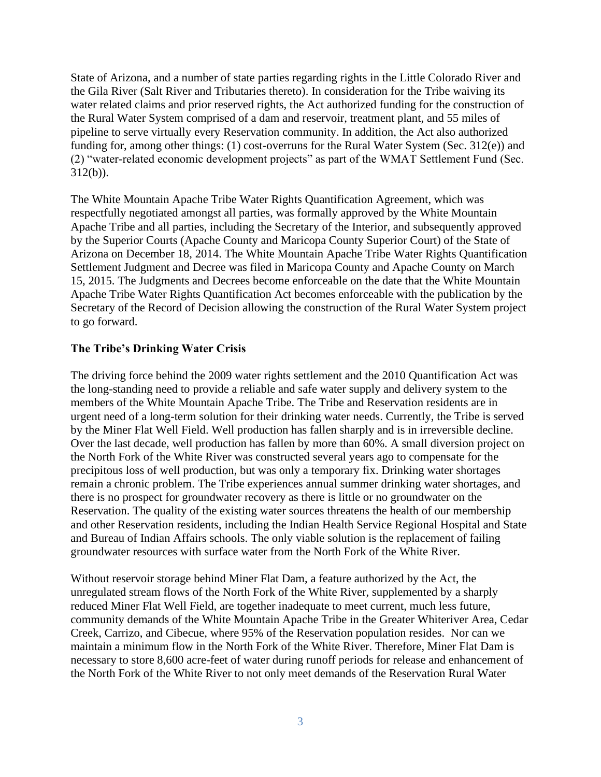State of Arizona, and a number of state parties regarding rights in the Little Colorado River and the Gila River (Salt River and Tributaries thereto). In consideration for the Tribe waiving its water related claims and prior reserved rights, the Act authorized funding for the construction of the Rural Water System comprised of a dam and reservoir, treatment plant, and 55 miles of pipeline to serve virtually every Reservation community. In addition, the Act also authorized funding for, among other things: (1) cost-overruns for the Rural Water System (Sec. 312(e)) and (2) "water-related economic development projects" as part of the WMAT Settlement Fund (Sec. 312(b)).

The White Mountain Apache Tribe Water Rights Quantification Agreement, which was respectfully negotiated amongst all parties, was formally approved by the White Mountain Apache Tribe and all parties, including the Secretary of the Interior, and subsequently approved by the Superior Courts (Apache County and Maricopa County Superior Court) of the State of Arizona on December 18, 2014. The White Mountain Apache Tribe Water Rights Quantification Settlement Judgment and Decree was filed in Maricopa County and Apache County on March 15, 2015. The Judgments and Decrees become enforceable on the date that the White Mountain Apache Tribe Water Rights Quantification Act becomes enforceable with the publication by the Secretary of the Record of Decision allowing the construction of the Rural Water System project to go forward.

#### **The Tribe's Drinking Water Crisis**

The driving force behind the 2009 water rights settlement and the 2010 Quantification Act was the long-standing need to provide a reliable and safe water supply and delivery system to the members of the White Mountain Apache Tribe. The Tribe and Reservation residents are in urgent need of a long-term solution for their drinking water needs. Currently, the Tribe is served by the Miner Flat Well Field. Well production has fallen sharply and is in irreversible decline. Over the last decade, well production has fallen by more than 60%. A small diversion project on the North Fork of the White River was constructed several years ago to compensate for the precipitous loss of well production, but was only a temporary fix. Drinking water shortages remain a chronic problem. The Tribe experiences annual summer drinking water shortages, and there is no prospect for groundwater recovery as there is little or no groundwater on the Reservation. The quality of the existing water sources threatens the health of our membership and other Reservation residents, including the Indian Health Service Regional Hospital and State and Bureau of Indian Affairs schools. The only viable solution is the replacement of failing groundwater resources with surface water from the North Fork of the White River.

Without reservoir storage behind Miner Flat Dam, a feature authorized by the Act, the unregulated stream flows of the North Fork of the White River, supplemented by a sharply reduced Miner Flat Well Field, are together inadequate to meet current, much less future, community demands of the White Mountain Apache Tribe in the Greater Whiteriver Area, Cedar Creek, Carrizo, and Cibecue, where 95% of the Reservation population resides. Nor can we maintain a minimum flow in the North Fork of the White River. Therefore, Miner Flat Dam is necessary to store 8,600 acre-feet of water during runoff periods for release and enhancement of the North Fork of the White River to not only meet demands of the Reservation Rural Water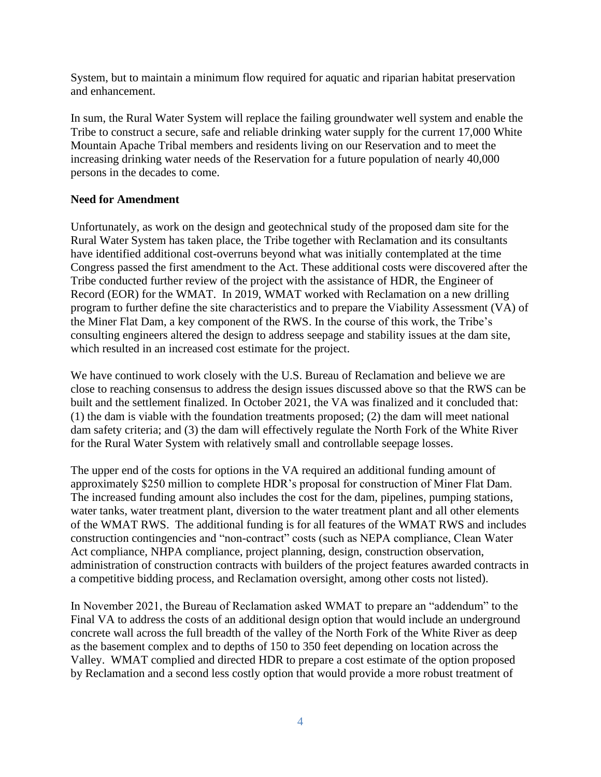System, but to maintain a minimum flow required for aquatic and riparian habitat preservation and enhancement.

In sum, the Rural Water System will replace the failing groundwater well system and enable the Tribe to construct a secure, safe and reliable drinking water supply for the current 17,000 White Mountain Apache Tribal members and residents living on our Reservation and to meet the increasing drinking water needs of the Reservation for a future population of nearly 40,000 persons in the decades to come.

## **Need for Amendment**

Unfortunately, as work on the design and geotechnical study of the proposed dam site for the Rural Water System has taken place, the Tribe together with Reclamation and its consultants have identified additional cost-overruns beyond what was initially contemplated at the time Congress passed the first amendment to the Act. These additional costs were discovered after the Tribe conducted further review of the project with the assistance of HDR, the Engineer of Record (EOR) for the WMAT. In 2019, WMAT worked with Reclamation on a new drilling program to further define the site characteristics and to prepare the Viability Assessment (VA) of the Miner Flat Dam, a key component of the RWS. In the course of this work, the Tribe's consulting engineers altered the design to address seepage and stability issues at the dam site, which resulted in an increased cost estimate for the project.

We have continued to work closely with the U.S. Bureau of Reclamation and believe we are close to reaching consensus to address the design issues discussed above so that the RWS can be built and the settlement finalized. In October 2021, the VA was finalized and it concluded that: (1) the dam is viable with the foundation treatments proposed; (2) the dam will meet national dam safety criteria; and (3) the dam will effectively regulate the North Fork of the White River for the Rural Water System with relatively small and controllable seepage losses.

The upper end of the costs for options in the VA required an additional funding amount of approximately \$250 million to complete HDR's proposal for construction of Miner Flat Dam. The increased funding amount also includes the cost for the dam, pipelines, pumping stations, water tanks, water treatment plant, diversion to the water treatment plant and all other elements of the WMAT RWS. The additional funding is for all features of the WMAT RWS and includes construction contingencies and "non-contract" costs (such as NEPA compliance, Clean Water Act compliance, NHPA compliance, project planning, design, construction observation, administration of construction contracts with builders of the project features awarded contracts in a competitive bidding process, and Reclamation oversight, among other costs not listed).

In November 2021, the Bureau of Reclamation asked WMAT to prepare an "addendum" to the Final VA to address the costs of an additional design option that would include an underground concrete wall across the full breadth of the valley of the North Fork of the White River as deep as the basement complex and to depths of 150 to 350 feet depending on location across the Valley. WMAT complied and directed HDR to prepare a cost estimate of the option proposed by Reclamation and a second less costly option that would provide a more robust treatment of